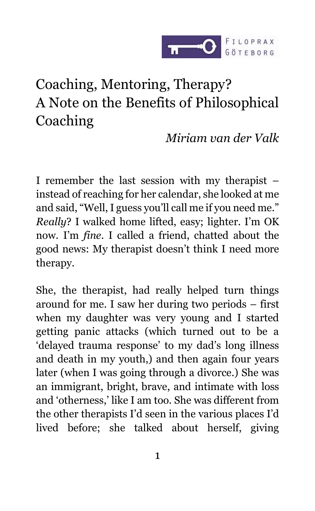

# Coaching, Mentoring, Therapy? A Note on the Benefits of Philosophical Coaching

*Miriam van der Valk*

I remember the last session with my therapist – instead of reaching for her calendar, she looked at me and said, "Well, I guess you'll call me if you need me." *Really*? I walked home lifted, easy; lighter. I'm OK now. I'm *fine*. I called a friend, chatted about the good news: My therapist doesn't think I need more therapy.

She, the therapist, had really helped turn things around for me. I saw her during two periods – first when my daughter was very young and I started getting panic attacks (which turned out to be a 'delayed trauma response' to my dad's long illness and death in my youth,) and then again four years later (when I was going through a divorce.) She was an immigrant, bright, brave, and intimate with loss and 'otherness,' like I am too. She was different from the other therapists I'd seen in the various places I'd lived before; she talked about herself, giving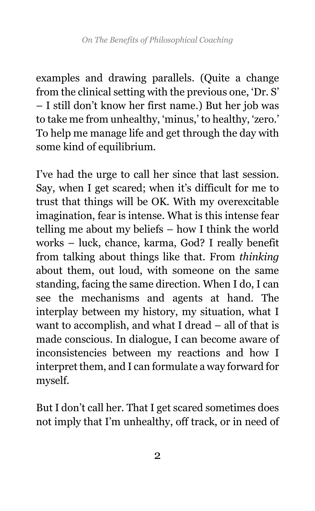examples and drawing parallels. (Quite a change from the clinical setting with the previous one, 'Dr. S' – I still don't know her first name.) But her job was to take me from unhealthy, 'minus,' to healthy, 'zero.' To help me manage life and get through the day with some kind of equilibrium.

I've had the urge to call her since that last session. Say, when I get scared; when it's difficult for me to trust that things will be OK. With my overexcitable imagination, fear is intense. What is this intense fear telling me about my beliefs – how I think the world works – luck, chance, karma, God? I really benefit from talking about things like that. From *thinking* about them, out loud, with someone on the same standing, facing the same direction. When I do, I can see the mechanisms and agents at hand. The interplay between my history, my situation, what I want to accomplish, and what I dread – all of that is made conscious. In dialogue, I can become aware of inconsistencies between my reactions and how I interpret them, and I can formulate a way forward for myself.

But I don't call her. That I get scared sometimes does not imply that I'm unhealthy, off track, or in need of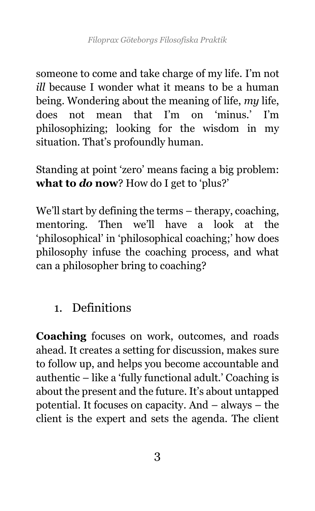someone to come and take charge of my life. I'm not *ill* because I wonder what it means to be a human being. Wondering about the meaning of life, *my* life, does not mean that I'm on 'minus.' I'm philosophizing; looking for the wisdom in my situation. That's profoundly human.

Standing at point 'zero' means facing a big problem: **what to** *do* **now**? How do I get to 'plus?'

We'll start by defining the terms – therapy, coaching, mentoring. Then we'll have a look at the 'philosophical' in 'philosophical coaching;' how does philosophy infuse the coaching process, and what can a philosopher bring to coaching?

### 1. Definitions

**Coaching** focuses on work, outcomes, and roads ahead. It creates a setting for discussion, makes sure to follow up, and helps you become accountable and authentic – like a 'fully functional adult.' Coaching is about the present and the future. It's about untapped potential. It focuses on capacity. And – always – the client is the expert and sets the agenda. The client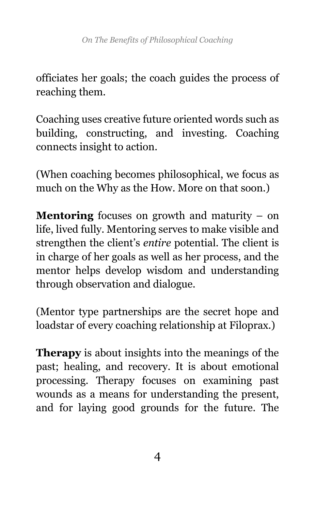officiates her goals; the coach guides the process of reaching them.

Coaching uses creative future oriented words such as building, constructing, and investing. Coaching connects insight to action.

(When coaching becomes philosophical, we focus as much on the Why as the How. More on that soon.)

**Mentoring** focuses on growth and maturity – on life, lived fully. Mentoring serves to make visible and strengthen the client's *entire* potential. The client is in charge of her goals as well as her process, and the mentor helps develop wisdom and understanding through observation and dialogue.

(Mentor type partnerships are the secret hope and loadstar of every coaching relationship at Filoprax.)

**Therapy** is about insights into the meanings of the past; healing, and recovery. It is about emotional processing. Therapy focuses on examining past wounds as a means for understanding the present, and for laying good grounds for the future. The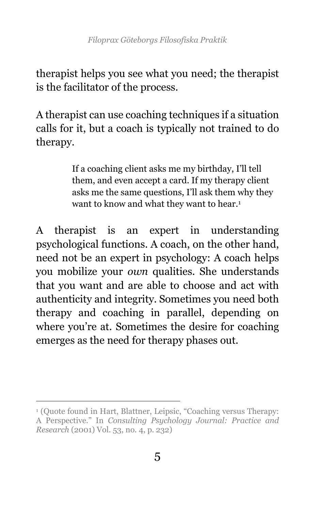therapist helps you see what you need; the therapist is the facilitator of the process.

A therapist can use coaching techniques if a situation calls for it, but a coach is typically not trained to do therapy.

> If a coaching client asks me my birthday, I'll tell them, and even accept a card. If my therapy client asks me the same questions, I'll ask them why they want to know and what they want to hear.<sup>1</sup>

A therapist is an expert in understanding psychological functions. A coach, on the other hand, need not be an expert in psychology: A coach helps you mobilize your *own* qualities. She understands that you want and are able to choose and act with authenticity and integrity. Sometimes you need both therapy and coaching in parallel, depending on where you're at. Sometimes the desire for coaching emerges as the need for therapy phases out.

<sup>1</sup> (Quote found in Hart, Blattner, Leipsic, "Coaching versus Therapy: A Perspective." In *Consulting Psychology Journal: Practice and Research* (2001) Vol. 53, no. 4, p. 232)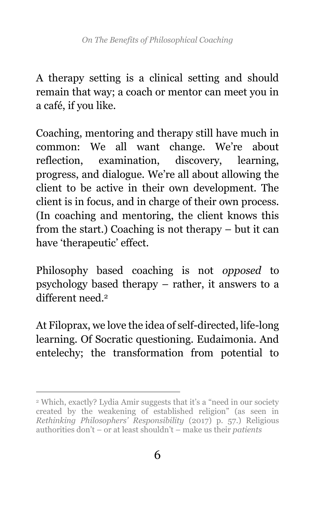A therapy setting is a clinical setting and should remain that way; a coach or mentor can meet you in a café, if you like.

Coaching, mentoring and therapy still have much in common: We all want change. We're about reflection, examination, discovery, learning, progress, and dialogue. We're all about allowing the client to be active in their own development. The client is in focus, and in charge of their own process. (In coaching and mentoring, the client knows this from the start.) Coaching is not therapy – but it can have 'therapeutic' effect.

Philosophy based coaching is not *opposed* to psychology based therapy – rather, it answers to a different need<sup>2</sup>

At Filoprax, we love the idea of self-directed, life-long learning. Of Socratic questioning. Eudaimonia. And entelechy; the transformation from potential to

<sup>2</sup> Which, exactly? Lydia Amir suggests that it's a "need in our society created by the weakening of established religion" (as seen in *Rethinking Philosophers' Responsibility* (2017) p. 57.) Religious authorities don't – or at least shouldn't – make us their *patients*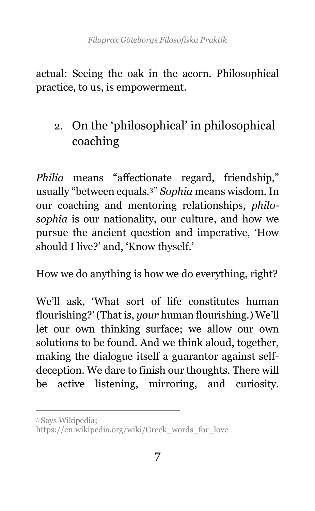actual: Seeing the oak in the acorn. Philosophical practice, to us, is empowerment.

# 2. On the 'philosophical' in philosophical coaching

*Philia* means "affectionate regard, friendship," usually "between equals.<sup>3</sup>" *Sophia* means wisdom. In our coaching and mentoring relationships, *philosophia* is our nationality, our culture, and how we pursue the ancient question and imperative, 'How should I live?' and, 'Know thyself.'

How we do anything is how we do everything, right?

We'll ask, 'What sort of life constitutes human flourishing?' (That is, *your* human flourishing.) We'll let our own thinking surface; we allow our own solutions to be found. And we think aloud, together, making the dialogue itself a guarantor against selfdeception. We dare to finish our thoughts. There will be active listening, mirroring, and curiosity.

<sup>3</sup> Says Wikipedia;

[https://en.wikipedia.org/wiki/Greek\\_words\\_for\\_love](https://en.wikipedia.org/wiki/Greek_words_for_love)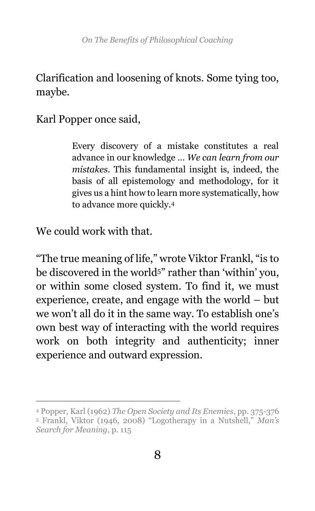### Clarification and loosening of knots. Some tying too, maybe.

Karl Popper once said,

Every discovery of a mistake constitutes a real advance in our knowledge … *We can learn from our mistakes*. This fundamental insight is, indeed, the basis of all epistemology and methodology, for it gives us a hint how to learn more systematically, how to advance more quickly.<sup>4</sup>

We could work with that.

 $\overline{a}$ 

"The true meaning of life," wrote Viktor Frankl, "is to be discovered in the world<sup>5"</sup> rather than 'within' you, or within some closed system. To find it, we must experience, create, and engage with the world – but we won't all do it in the same way. To establish one's own best way of interacting with the world requires work on both integrity and authenticity; inner experience and outward expression.

<sup>4</sup> Popper, Karl (1962) *The Open Society and Its Enemies*, pp. 375-376

<sup>5</sup> Frankl, Viktor (1946, 2008) "Logotherapy in a Nutshell," *Man's Search for Meaning*, p. 115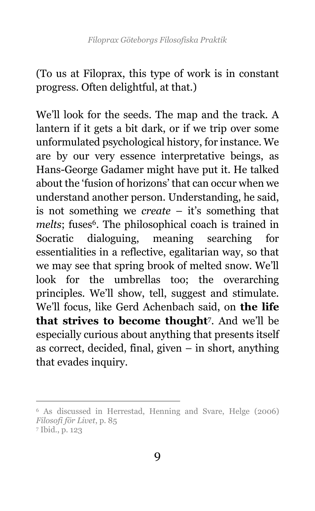(To us at Filoprax, this type of work is in constant progress. Often delightful, at that.)

We'll look for the seeds. The map and the track. A lantern if it gets a bit dark, or if we trip over some unformulated psychological history, for instance. We are by our very essence interpretative beings, as Hans-George Gadamer might have put it. He talked about the 'fusion of horizons' that can occur when we understand another person. Understanding, he said, is not something we *create* – it's something that melts; fuses<sup>6</sup>. The philosophical coach is trained in Socratic dialoguing, meaning searching for essentialities in a reflective, egalitarian way, so that we may see that spring brook of melted snow. We'll look for the umbrellas too; the overarching principles. We'll show, tell, suggest and stimulate. We'll focus, like Gerd Achenbach said, on **the life that strives to become thought**<sup>7</sup> . And we'll be especially curious about anything that presents itself as correct, decided, final, given – in short, anything that evades inquiry.

<sup>6</sup> As discussed in Herrestad, Henning and Svare, Helge (2006) *Filosofi för Livet*, p. 85 <sup>7</sup> Ibid., p. 123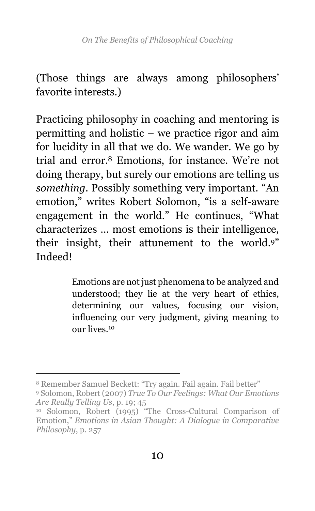(Those things are always among philosophers' favorite interests.)

Practicing philosophy in coaching and mentoring is permitting and holistic – we practice rigor and aim for lucidity in all that we do. We wander. We go by trial and error.<sup>8</sup> Emotions, for instance. We're not doing therapy, but surely our emotions are telling us *something*. Possibly something very important. "An emotion," writes Robert Solomon, "is a self-aware engagement in the world." He continues, "What characterizes … most emotions is their intelligence, their insight, their attunement to the world.<sup>9</sup>" Indeed!

> Emotions are not just phenomena to be analyzed and understood; they lie at the very heart of ethics, determining our values, focusing our vision, influencing our very judgment, giving meaning to our lives.<sup>10</sup>

<sup>8</sup> Remember Samuel Beckett: "Try again. Fail again. Fail better"

<sup>9</sup> Solomon, Robert (2007) *True To Our Feelings: What Our Emotions Are Really Telling Us*, p. 19; 45

<sup>10</sup> Solomon, Robert (1995) "The Cross-Cultural Comparison of Emotion," *Emotions in Asian Thought: A Dialogue in Comparative Philosophy*, p. 257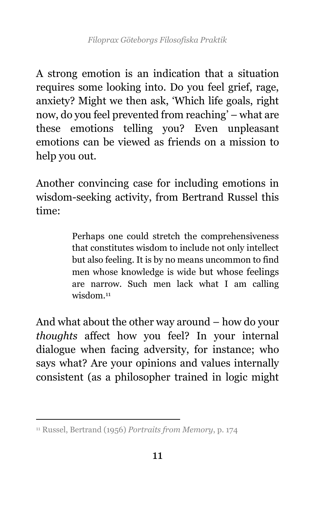A strong emotion is an indication that a situation requires some looking into. Do you feel grief, rage, anxiety? Might we then ask, 'Which life goals, right now, do you feel prevented from reaching' – what are these emotions telling you? Even unpleasant emotions can be viewed as friends on a mission to help you out.

Another convincing case for including emotions in wisdom-seeking activity, from Bertrand Russel this time:

> Perhaps one could stretch the comprehensiveness that constitutes wisdom to include not only intellect but also feeling. It is by no means uncommon to find men whose knowledge is wide but whose feelings are narrow. Such men lack what I am calling wisdom.<sup>11</sup>

And what about the other way around – how do your *thoughts* affect how you feel? In your internal dialogue when facing adversity, for instance; who says what? Are your opinions and values internally consistent (as a philosopher trained in logic might

 <sup>11</sup> Russel, Bertrand (1956) *Portraits from Memory*, p. 174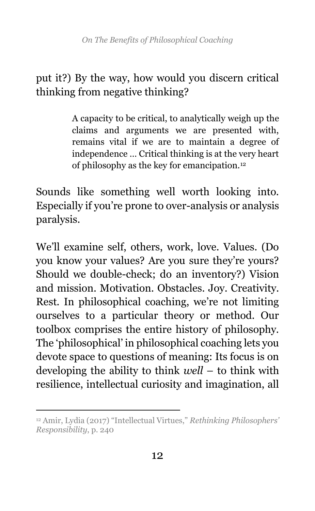### put it?) By the way, how would you discern critical thinking from negative thinking?

A capacity to be critical, to analytically weigh up the claims and arguments we are presented with, remains vital if we are to maintain a degree of independence … Critical thinking is at the very heart of philosophy as the key for emancipation.<sup>12</sup>

Sounds like something well worth looking into. Especially if you're prone to over-analysis or analysis paralysis.

We'll examine self, others, work, love. Values. (Do you know your values? Are you sure they're yours? Should we double-check; do an inventory?) Vision and mission. Motivation. Obstacles. Joy. Creativity. Rest. In philosophical coaching, we're not limiting ourselves to a particular theory or method. Our toolbox comprises the entire history of philosophy. The 'philosophical' in philosophical coaching lets you devote space to questions of meaning: Its focus is on developing the ability to think *well* – to think with resilience, intellectual curiosity and imagination, all

 $\overline{a}$ <sup>12</sup> Amir, Lydia (2017) "Intellectual Virtues," *Rethinking Philosophers' Responsibility*, p. 240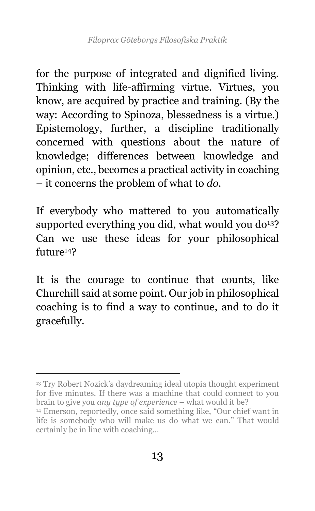for the purpose of integrated and dignified living. Thinking with life-affirming virtue. Virtues, you know, are acquired by practice and training. (By the way: According to Spinoza, blessedness is a virtue.) Epistemology, further, a discipline traditionally concerned with questions about the nature of knowledge; differences between knowledge and opinion, etc., becomes a practical activity in coaching – it concerns the problem of what to *do*.

If everybody who mattered to you automatically supported everything you did, what would you  $d\sigma^{13}$ ? Can we use these ideas for your philosophical future<sup>14</sup>?

It is the courage to continue that counts, like Churchill said at some point. Our job in philosophical coaching is to find a way to continue, and to do it gracefully.

<sup>13</sup> Try Robert Nozick's daydreaming ideal utopia thought experiment for five minutes. If there was a machine that could connect to you brain to give you *any type of experience* – what would it be?

<sup>14</sup> Emerson, reportedly, once said something like, "Our chief want in life is somebody who will make us do what we can." That would certainly be in line with coaching…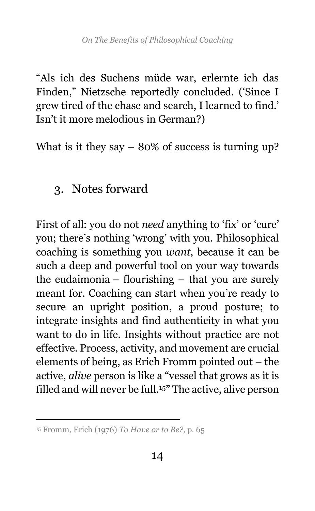"Als ich des Suchens müde war, erlernte ich das Finden," Nietzsche reportedly concluded. ('Since I grew tired of the chase and search, I learned to find.' Isn't it more melodious in German?)

What is it they say  $-80\%$  of success is turning up?

## 3. Notes forward

First of all: you do not *need* anything to 'fix' or 'cure' you; there's nothing 'wrong' with you. Philosophical coaching is something you *want*, because it can be such a deep and powerful tool on your way towards the eudaimonia – flourishing – that you are surely meant for. Coaching can start when you're ready to secure an upright position, a proud posture; to integrate insights and find authenticity in what you want to do in life. Insights without practice are not effective. Process, activity, and movement are crucial elements of being, as Erich Fromm pointed out – the active, *alive* person is like a "vessel that grows as it is filled and will never be full.<sup>15</sup>" The active, alive person

 <sup>15</sup> Fromm, Erich (1976) *To Have or to Be?*, p. 65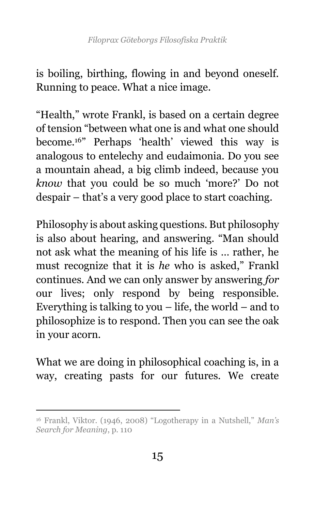is boiling, birthing, flowing in and beyond oneself. Running to peace. What a nice image.

"Health," wrote Frankl, is based on a certain degree of tension "between what one is and what one should become.<sup>16</sup>" Perhaps 'health' viewed this way is analogous to entelechy and eudaimonia. Do you see a mountain ahead, a big climb indeed, because you *know* that you could be so much 'more?' Do not despair – that's a very good place to start coaching.

Philosophy is about asking questions. But philosophy is also about hearing, and answering. "Man should not ask what the meaning of his life is … rather, he must recognize that it is *he* who is asked," Frankl continues. And we can only answer by answering *for* our lives; only respond by being responsible. Everything is talking to you  $-$  life, the world  $-$  and to philosophize is to respond. Then you can see the oak in your acorn.

What we are doing in philosophical coaching is, in a way, creating pasts for our futures. We create

<sup>16</sup> Frankl, Viktor. (1946, 2008) "Logotherapy in a Nutshell," *Man's Search for Meaning*, p. 110